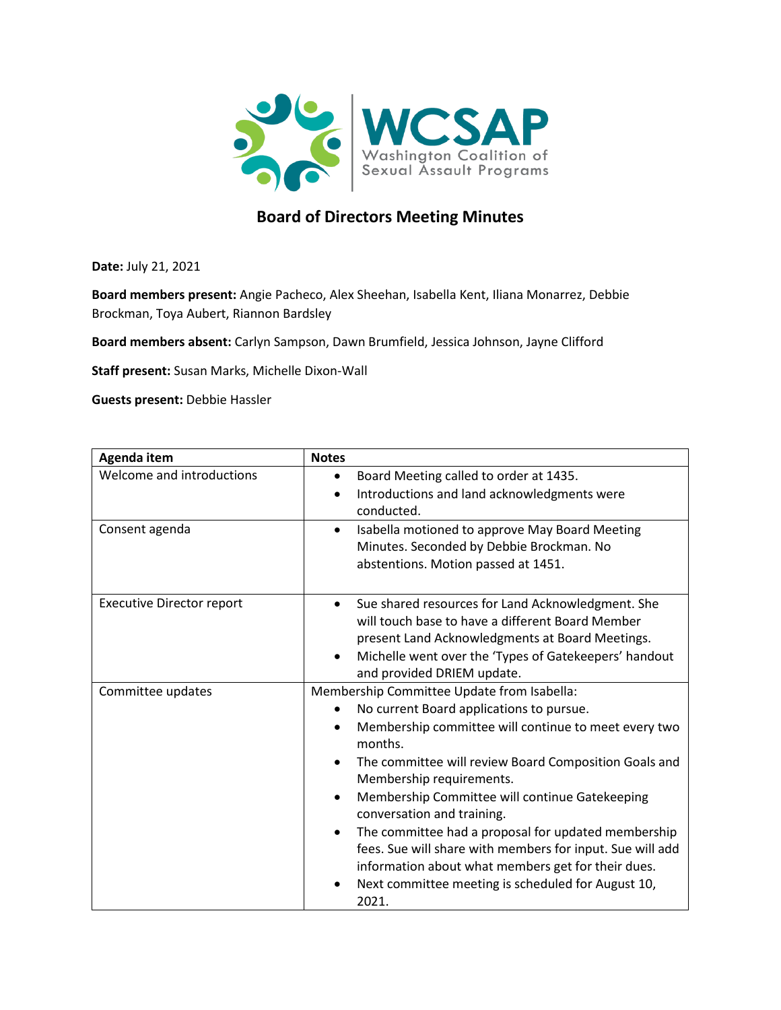

## **Board of Directors Meeting Minutes**

**Date:** July 21, 2021

**Board members present:** Angie Pacheco, Alex Sheehan, Isabella Kent, Iliana Monarrez, Debbie Brockman, Toya Aubert, Riannon Bardsley

**Board members absent:** Carlyn Sampson, Dawn Brumfield, Jessica Johnson, Jayne Clifford

**Staff present:** Susan Marks, Michelle Dixon-Wall

**Guests present:** Debbie Hassler

| Agenda item                      | <b>Notes</b>                                                                                                                                                                                                                                                                                                                                                                                                                                                                                                                                                            |
|----------------------------------|-------------------------------------------------------------------------------------------------------------------------------------------------------------------------------------------------------------------------------------------------------------------------------------------------------------------------------------------------------------------------------------------------------------------------------------------------------------------------------------------------------------------------------------------------------------------------|
| Welcome and introductions        | Board Meeting called to order at 1435.<br>$\bullet$<br>Introductions and land acknowledgments were<br>conducted.                                                                                                                                                                                                                                                                                                                                                                                                                                                        |
| Consent agenda                   | Isabella motioned to approve May Board Meeting<br>Minutes. Seconded by Debbie Brockman. No<br>abstentions. Motion passed at 1451.                                                                                                                                                                                                                                                                                                                                                                                                                                       |
| <b>Executive Director report</b> | Sue shared resources for Land Acknowledgment. She<br>$\bullet$<br>will touch base to have a different Board Member<br>present Land Acknowledgments at Board Meetings.<br>Michelle went over the 'Types of Gatekeepers' handout<br>and provided DRIEM update.                                                                                                                                                                                                                                                                                                            |
| Committee updates                | Membership Committee Update from Isabella:<br>No current Board applications to pursue.<br>Membership committee will continue to meet every two<br>months.<br>The committee will review Board Composition Goals and<br>Membership requirements.<br>Membership Committee will continue Gatekeeping<br>conversation and training.<br>The committee had a proposal for updated membership<br>fees. Sue will share with members for input. Sue will add<br>information about what members get for their dues.<br>Next committee meeting is scheduled for August 10,<br>2021. |